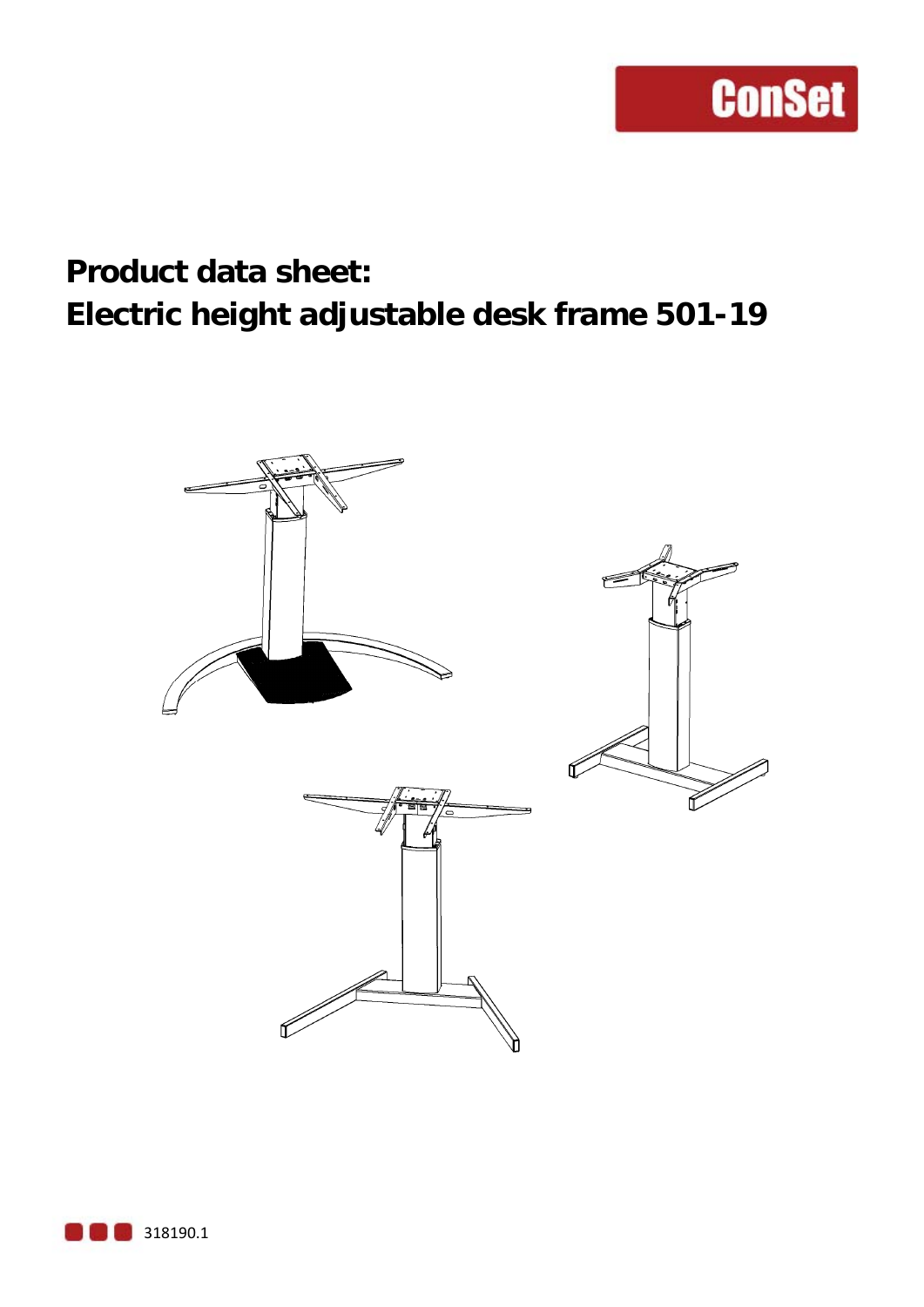### **Product data sheet: Electric height adjustable desk frame 501-19**

**ConSet** 



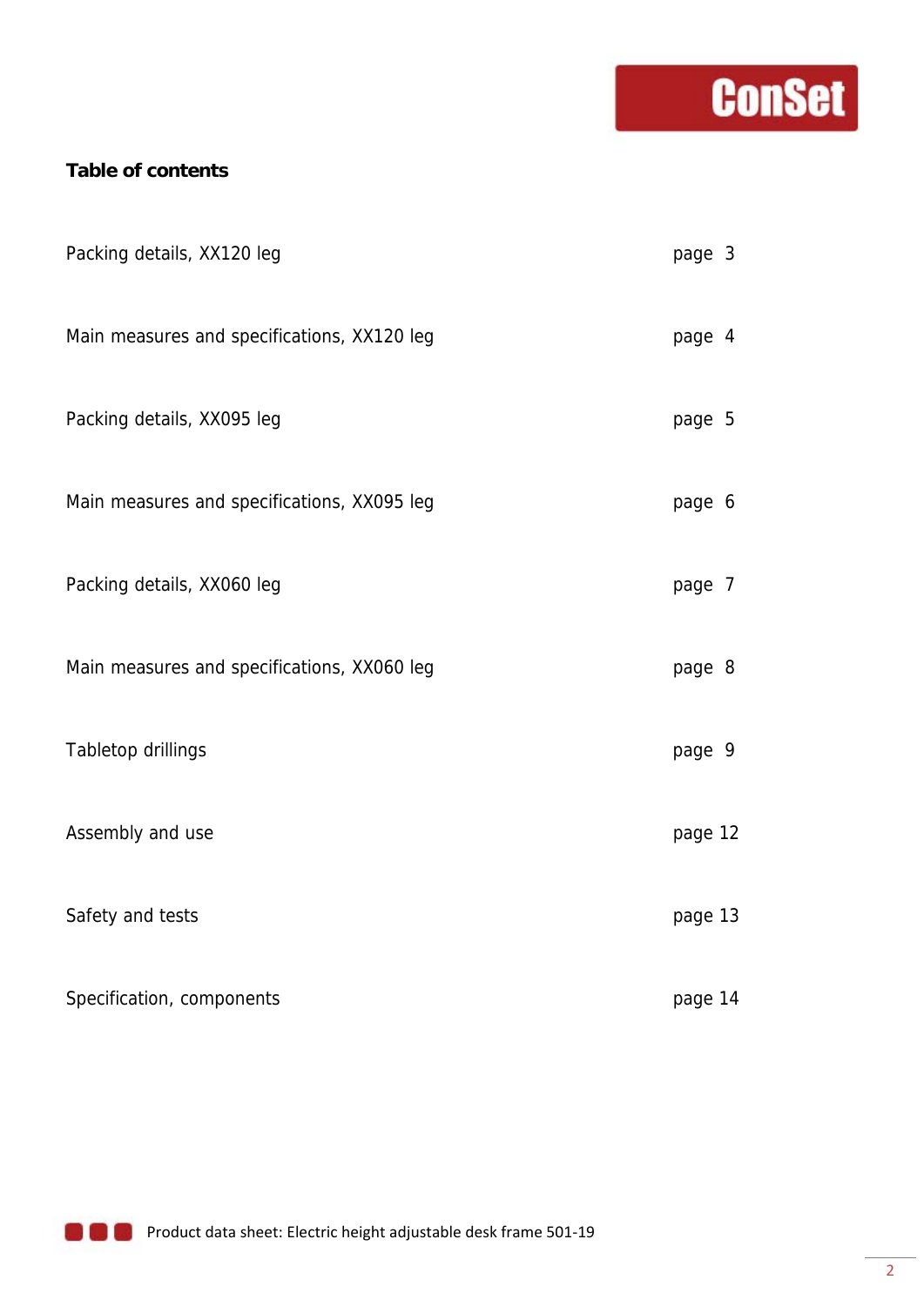## **Conset**

#### **Table of contents**

| Packing details, XX120 leg                  | page 3  |  |
|---------------------------------------------|---------|--|
| Main measures and specifications, XX120 leg | page 4  |  |
| Packing details, XX095 leg                  | page 5  |  |
| Main measures and specifications, XX095 leg | page 6  |  |
| Packing details, XX060 leg                  | page 7  |  |
| Main measures and specifications, XX060 leg | page 8  |  |
| Tabletop drillings                          | page 9  |  |
| Assembly and use                            | page 12 |  |
| Safety and tests                            | page 13 |  |
| Specification, components                   | page 14 |  |

**Product data sheet: Electric height adjustable desk frame 501-19**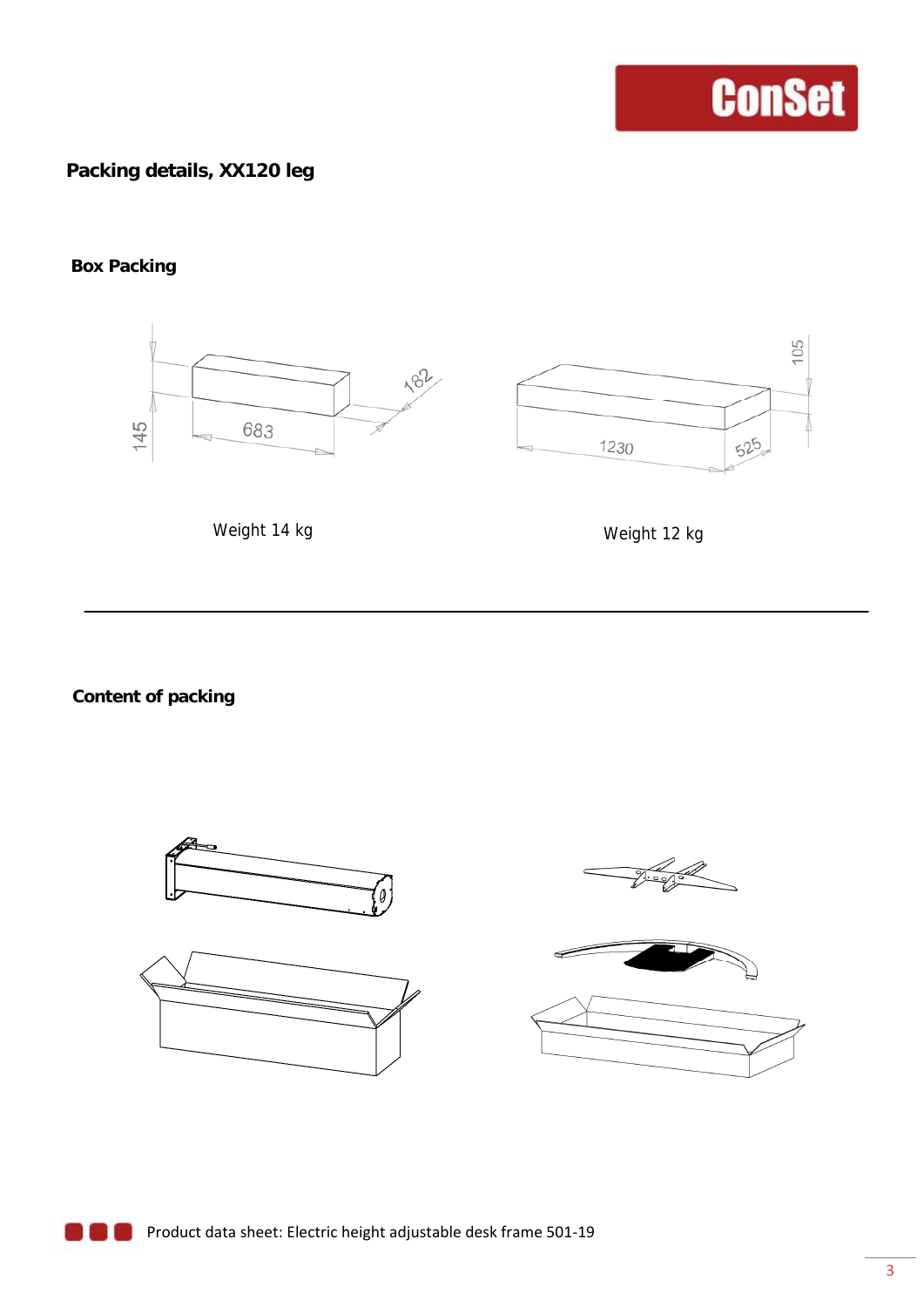#### **Packing details, XX120 leg**

#### **Box Packing**



Weight 14 kg

Weight 12 kg

**Content of packing** 

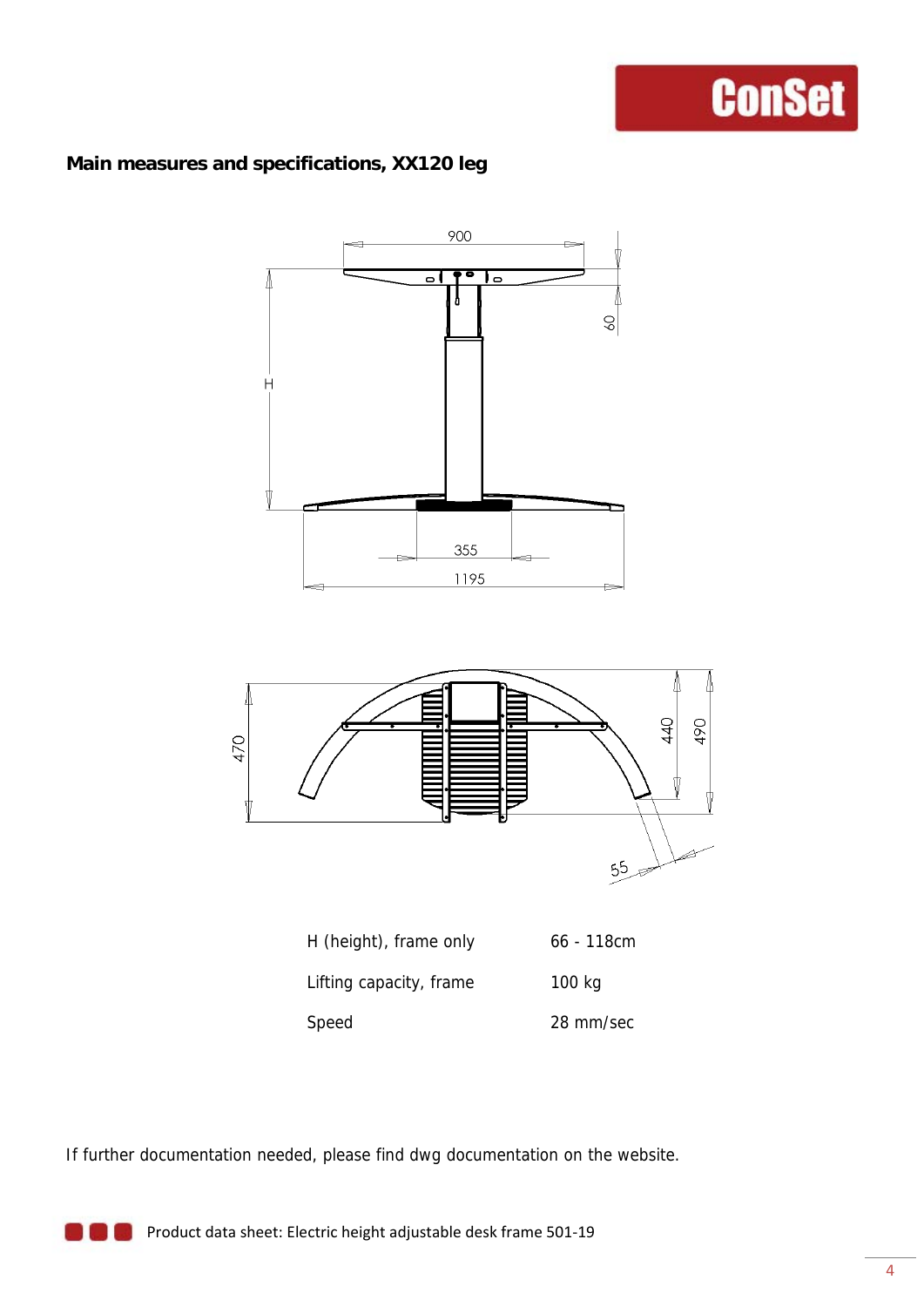#### **Main measures and specifications, XX120 leg**



If further documentation needed, please find dwg documentation on the website.

**Product data sheet: Electric height adjustable desk frame 501-19**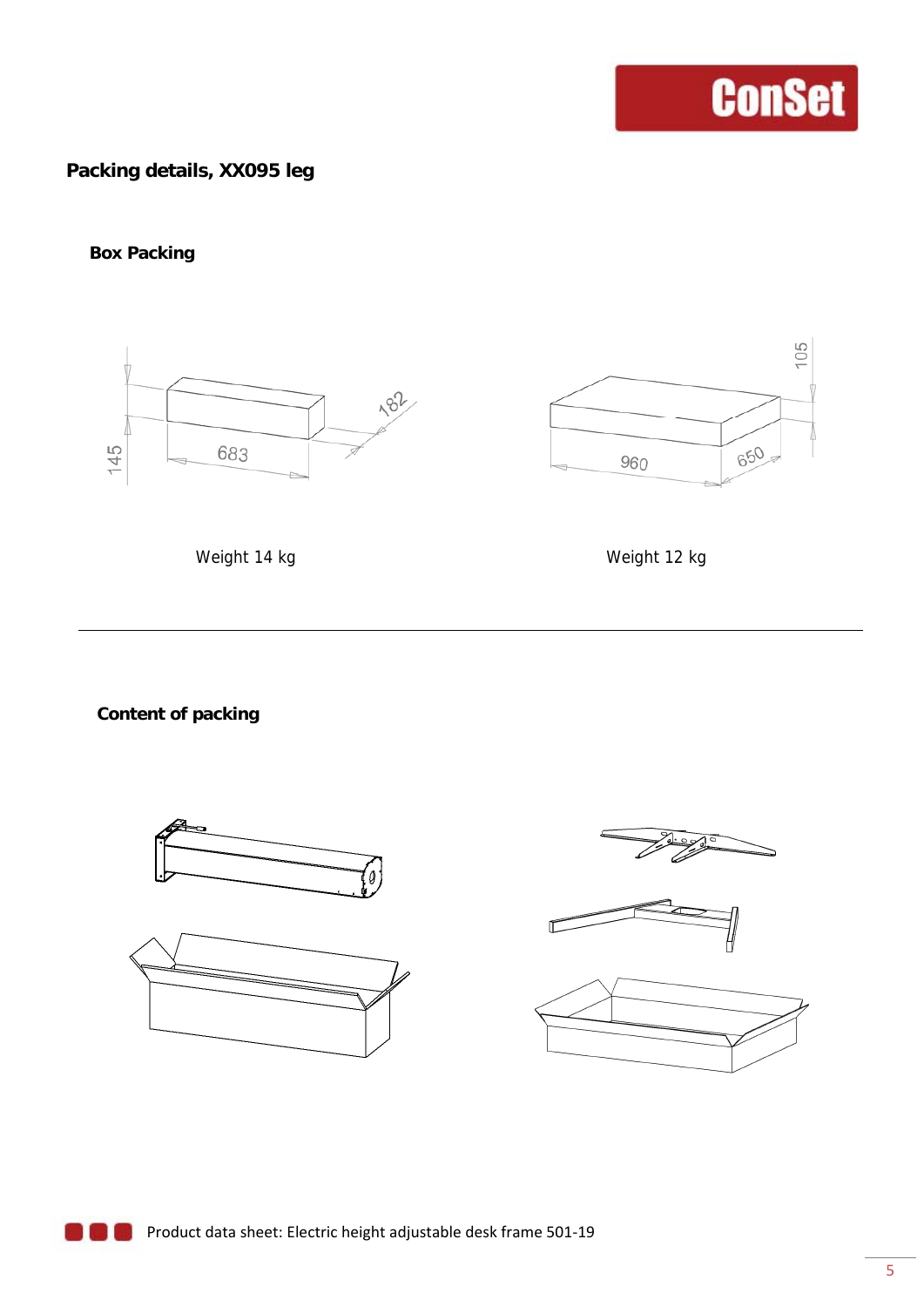#### **Packing details, XX095 leg**

#### **Box Packing**





Weight 14 kg Weight 12 kg

**Content of packing** 

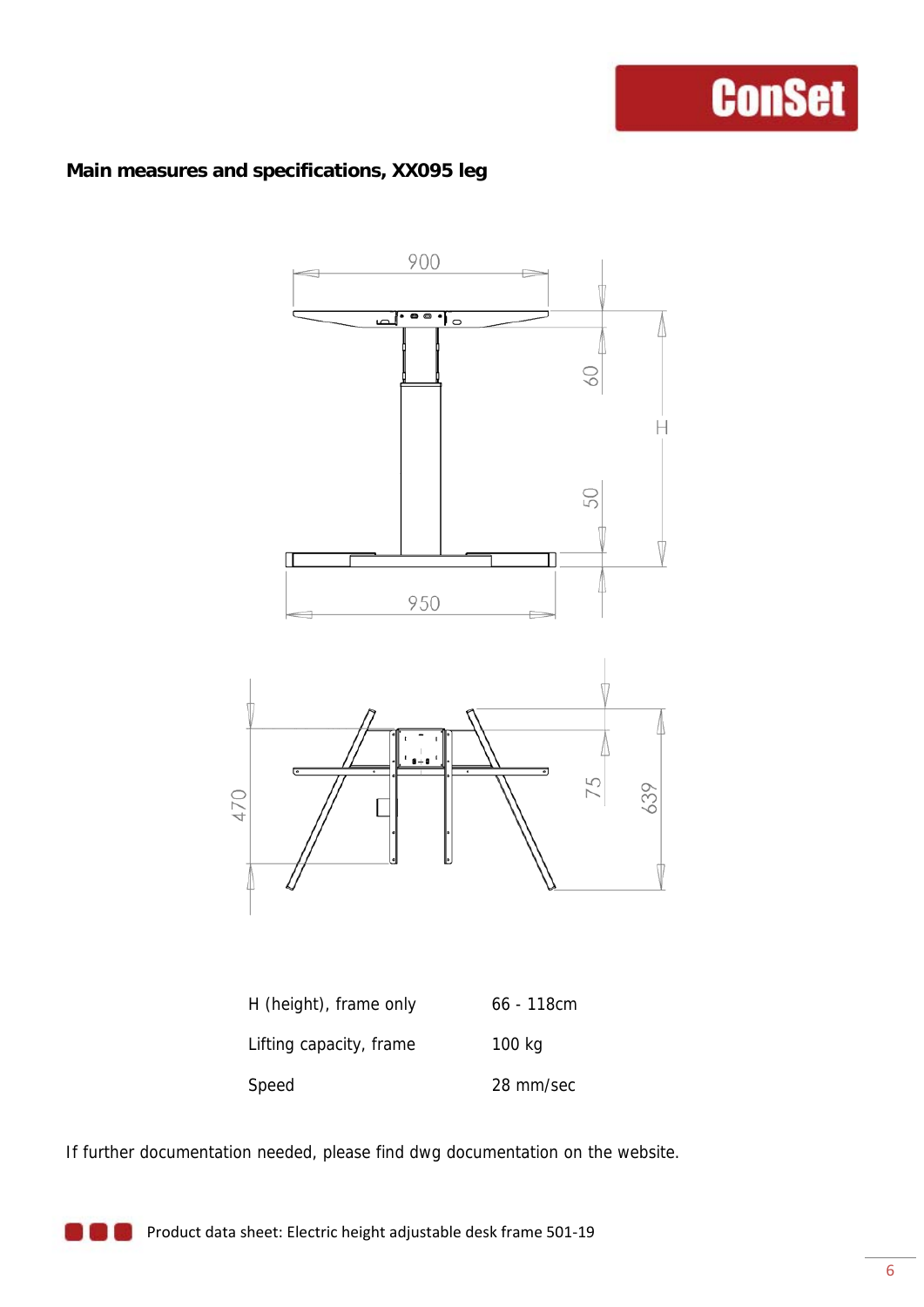#### **Main measures and specifications, XX095 leg**



| H (height), frame only  | $66 - 118$ cm |
|-------------------------|---------------|
| Lifting capacity, frame | 100 kg        |
| Speed                   | 28 mm/sec     |

If further documentation needed, please find dwg documentation on the website.

**Product data sheet: Electric height adjustable desk frame 501-19**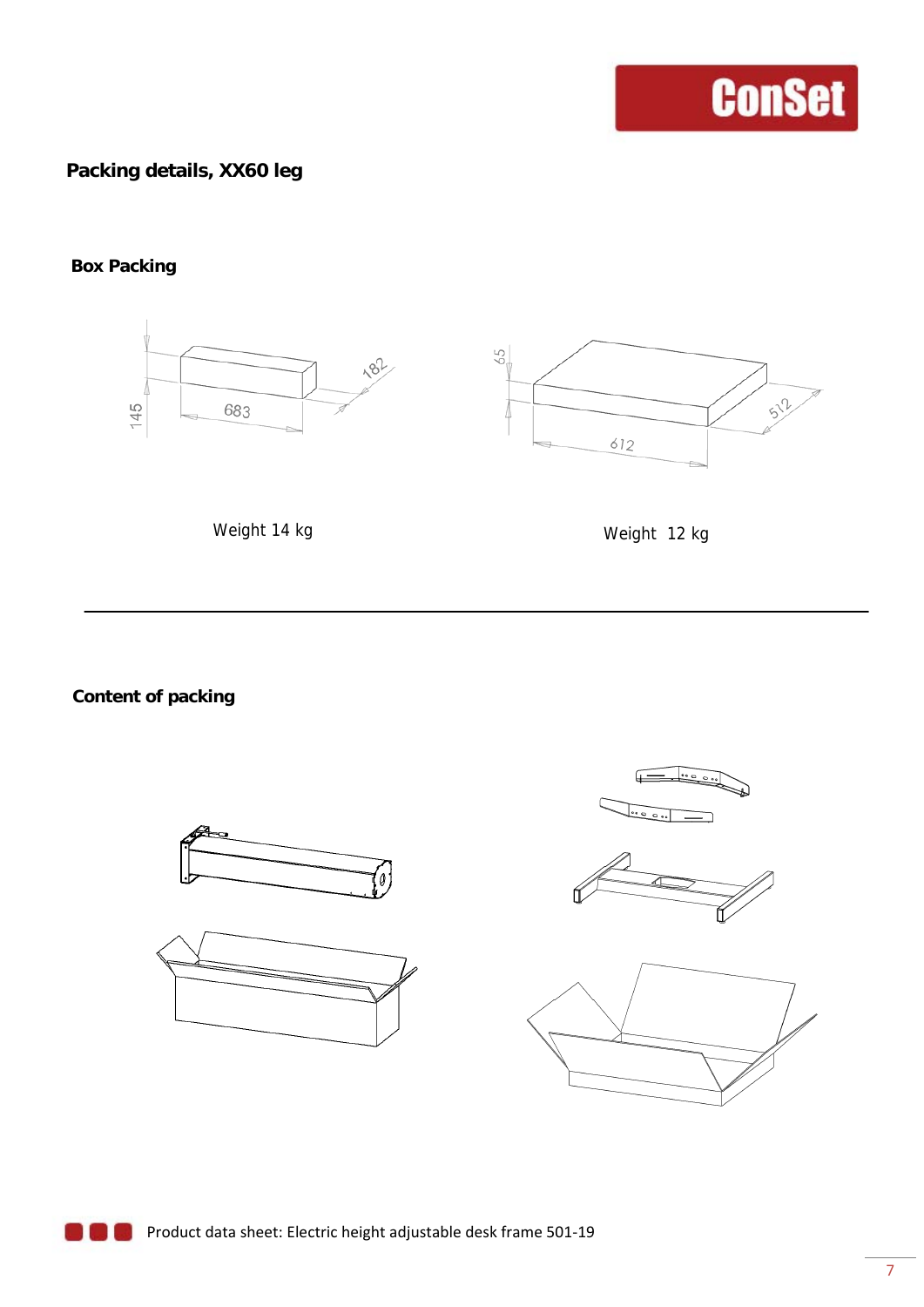#### **Packing details, XX60 leg**

#### **Box Packing**



Weight 14 kg

Weight 12 kg

**Content of packing** 









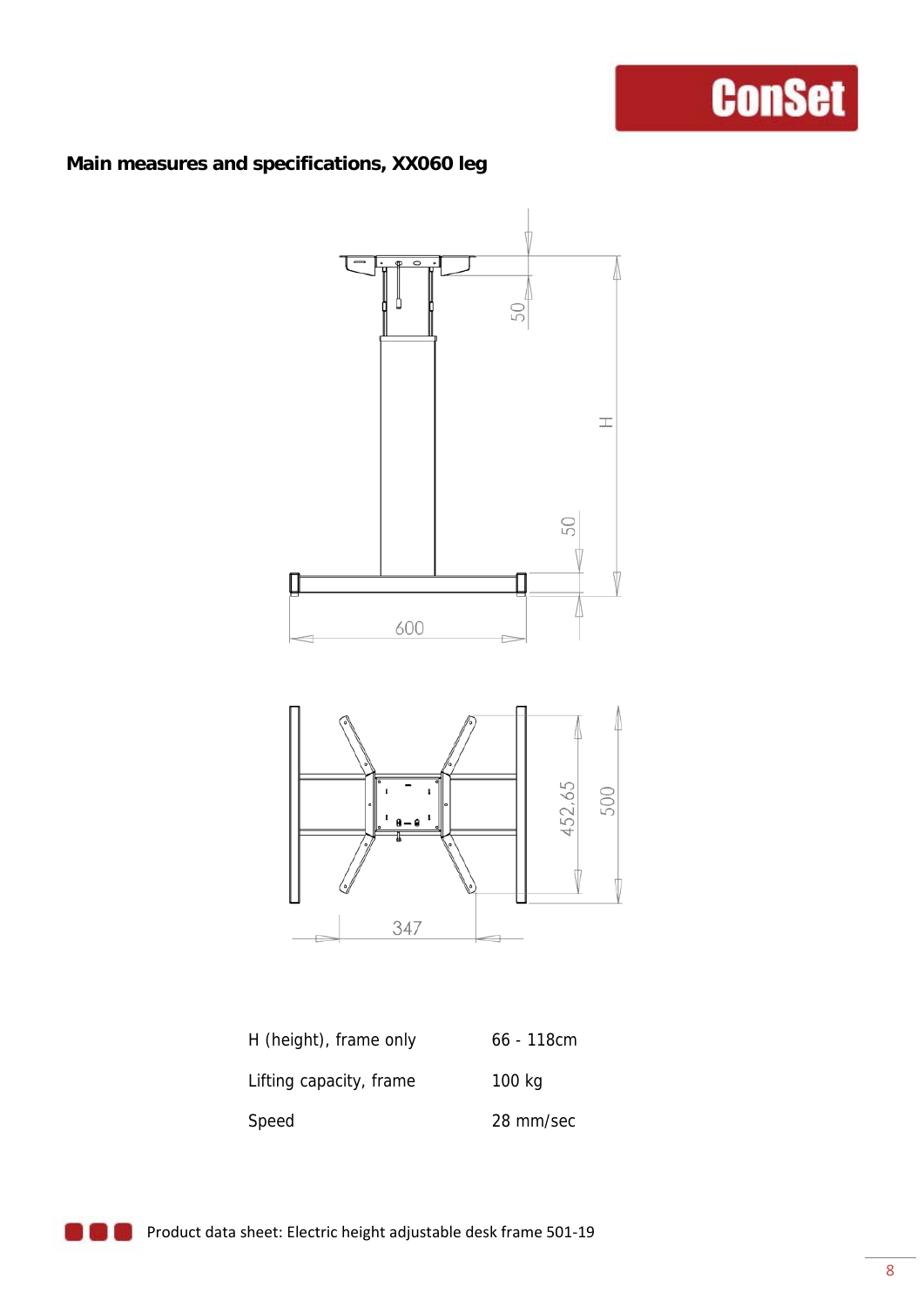#### **Main measures and specifications, XX060 leg**



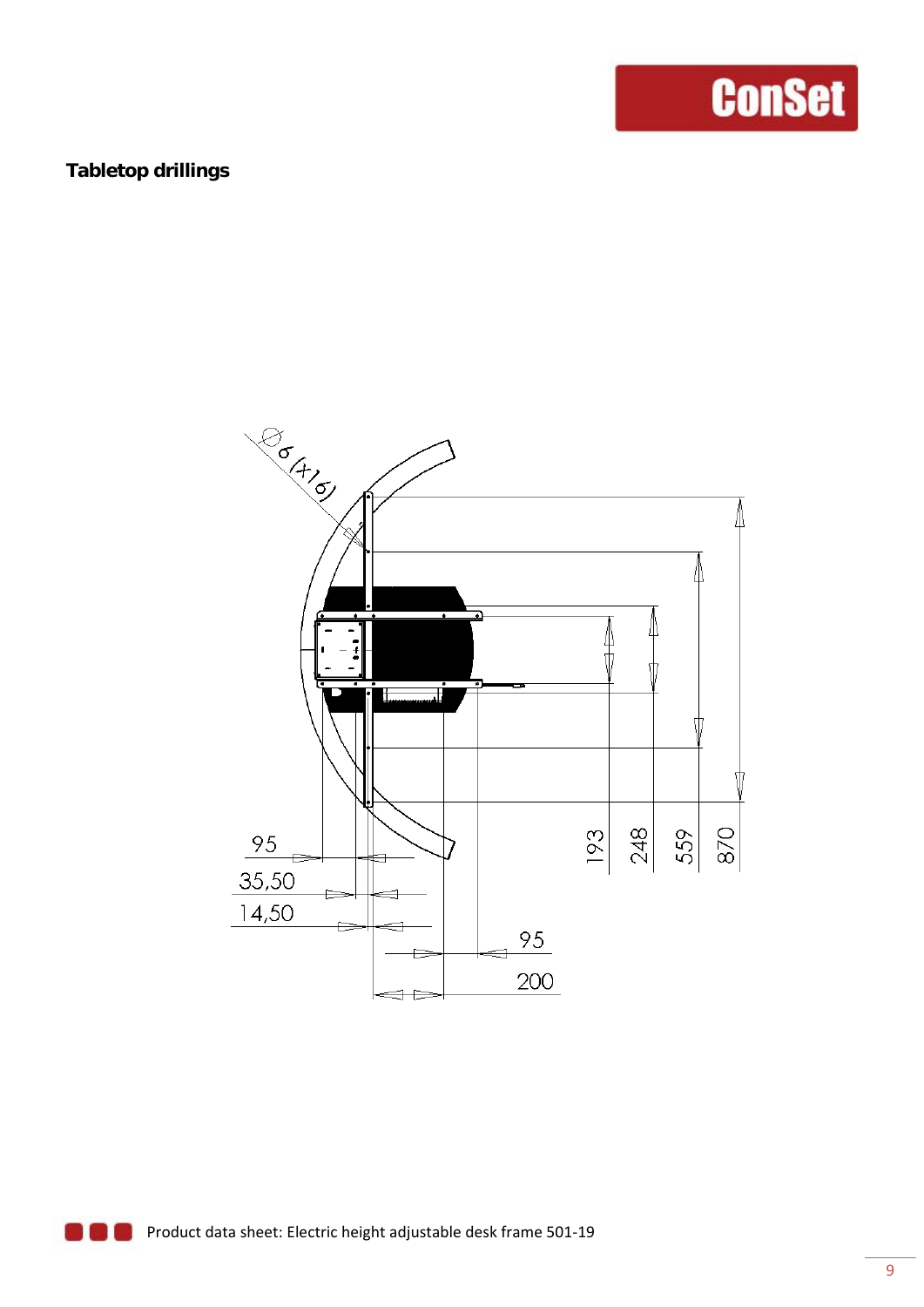#### **Tabletop drillings**

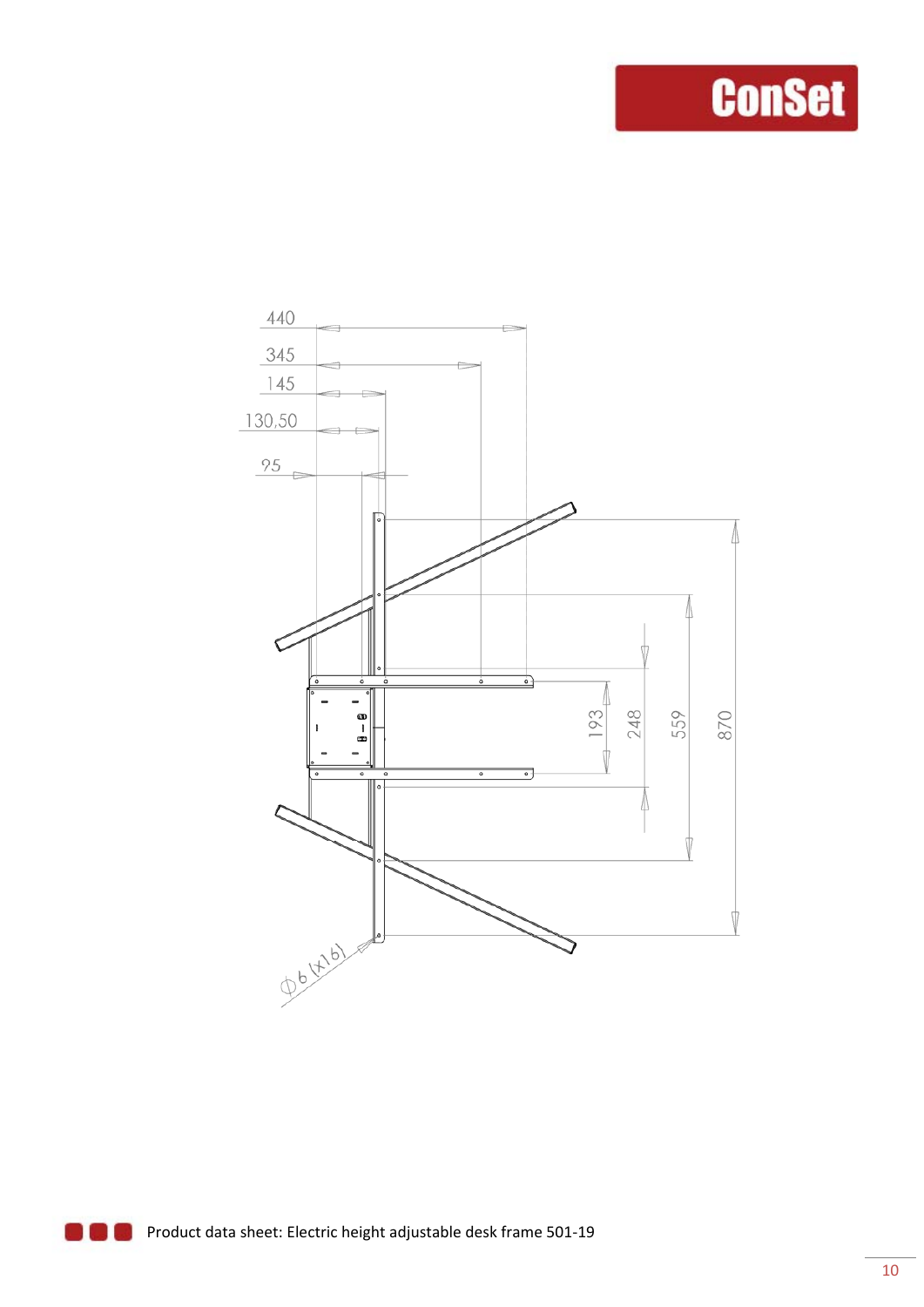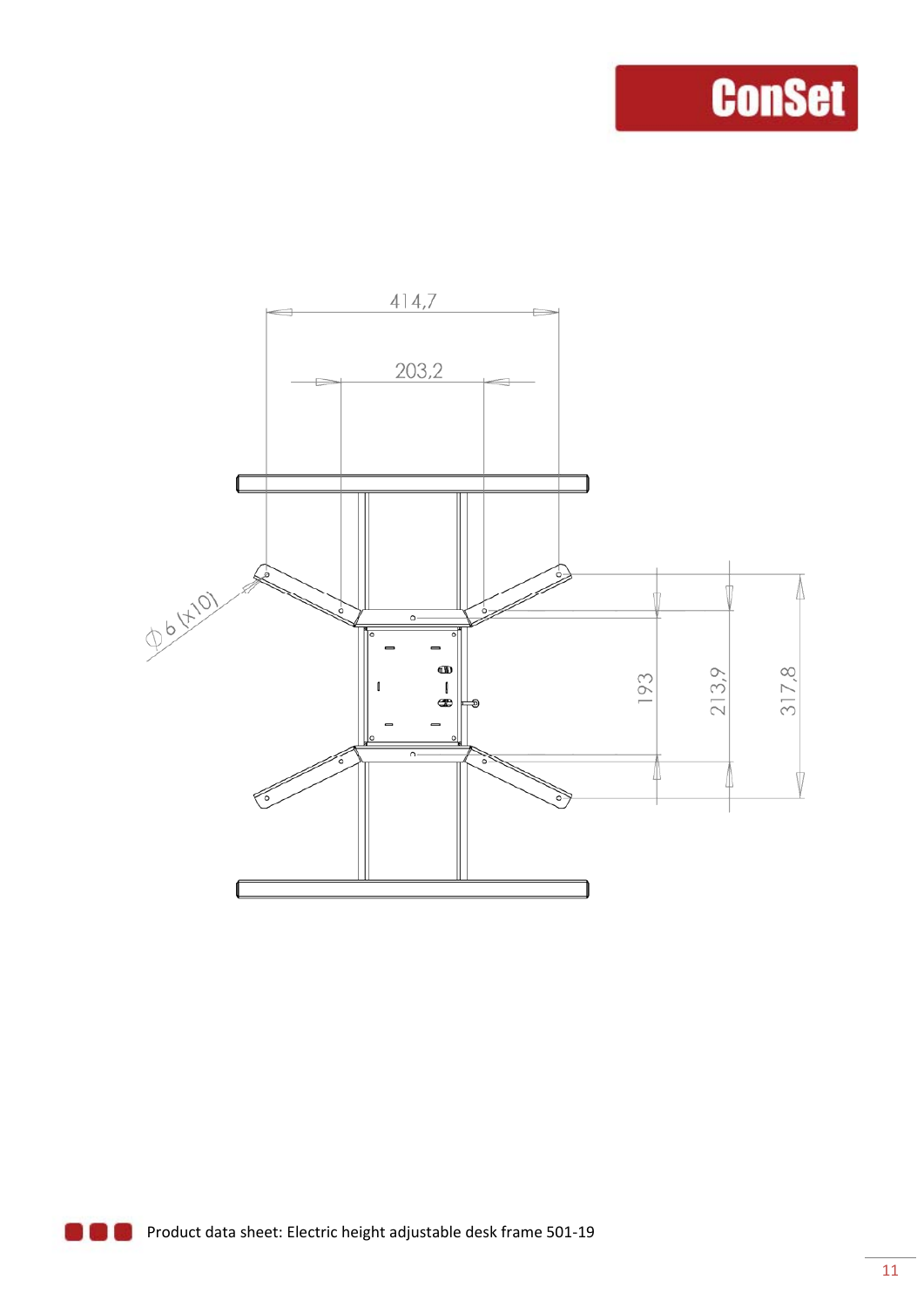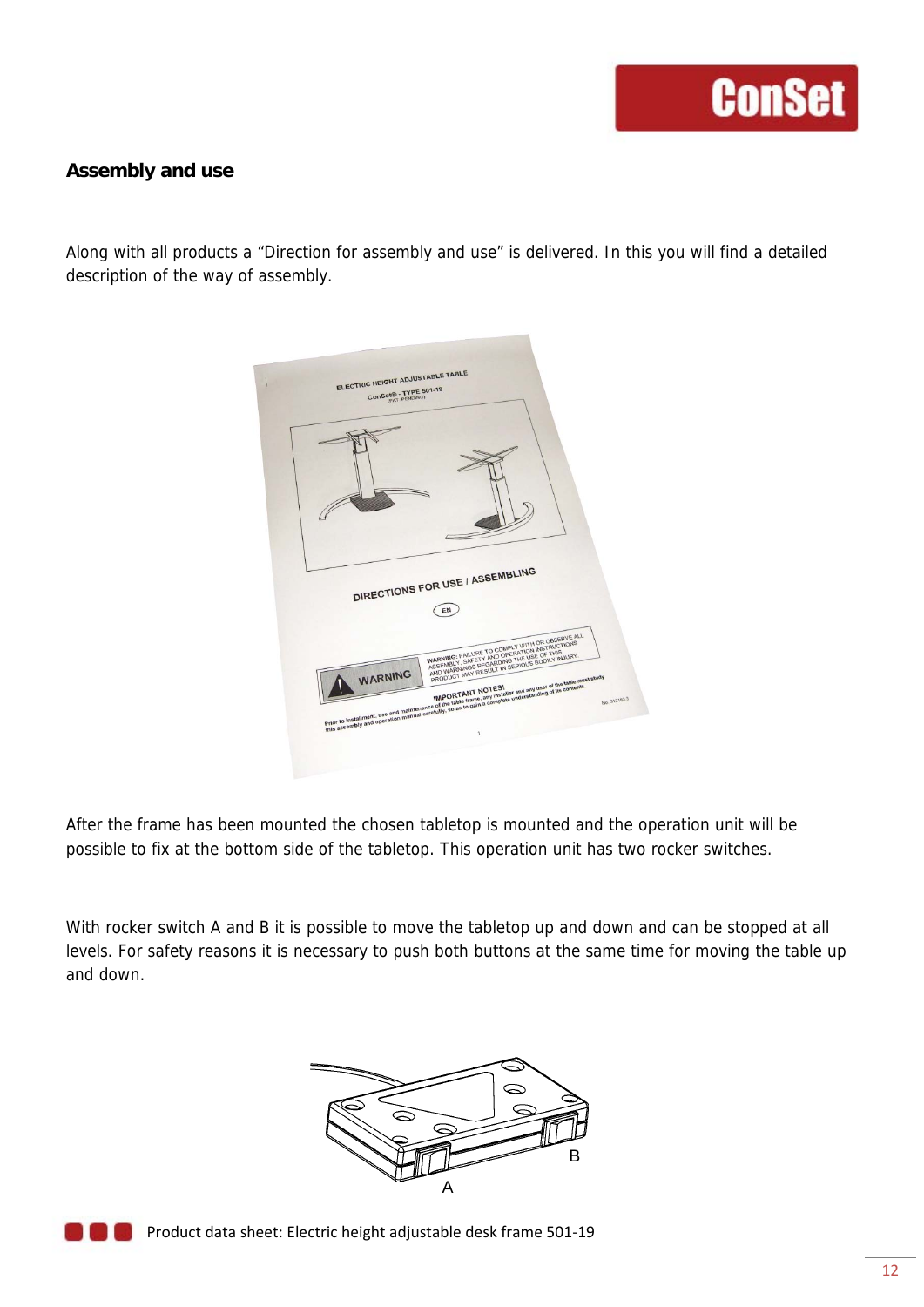#### **Assembly and use**

Along with all products a "Direction for assembly and use" is delivered. In this you will find a detailed description of the way of assembly.

|         | EN |  |                                                                                                                                                                                                                                                                                                                                                                                                                                                                                                                                                                                                                                                                                           |
|---------|----|--|-------------------------------------------------------------------------------------------------------------------------------------------------------------------------------------------------------------------------------------------------------------------------------------------------------------------------------------------------------------------------------------------------------------------------------------------------------------------------------------------------------------------------------------------------------------------------------------------------------------------------------------------------------------------------------------------|
| WARNING |    |  | No. 312183.3                                                                                                                                                                                                                                                                                                                                                                                                                                                                                                                                                                                                                                                                              |
|         |    |  | DIRECTIONS FOR USE / ASSEMBLING<br>WARNING: FAILURE TO COMPLY WITH OR OBSERVE ALL<br>WARRING FAILURE IN LUMINATION INSTRUCTIONS<br>AND WARNINGS REGARDING THE USE OF THIS<br>AND TEATMINGS RECONTING THE USE OF THIS WITH.<br>MIT UTLED! WAS MOVIED IN MIT OF THE RESEARCH THE RESEARCH AND RESEARCH THE SEARCH THE SEARCH THE SEARCH THE SEARCH THE SEARCH THE SEARCH THE SEARCH THE SEARCH THE SEARCH THE SEARCH THE SEARCH THE SEARCH THE SEARCH THE SEAR<br>Prior to Installment. Use and maintenance of the table frame, any installer and any use of the solice mail.<br>Prior to Installment. Use and maintenance of the table frame, any installer understanding of its contenus. |

After the frame has been mounted the chosen tabletop is mounted and the operation unit will be possible to fix at the bottom side of the tabletop. This operation unit has two rocker switches.

With rocker switch A and B it is possible to move the tabletop up and down and can be stopped at all levels. For safety reasons it is necessary to push both buttons at the same time for moving the table up and down.



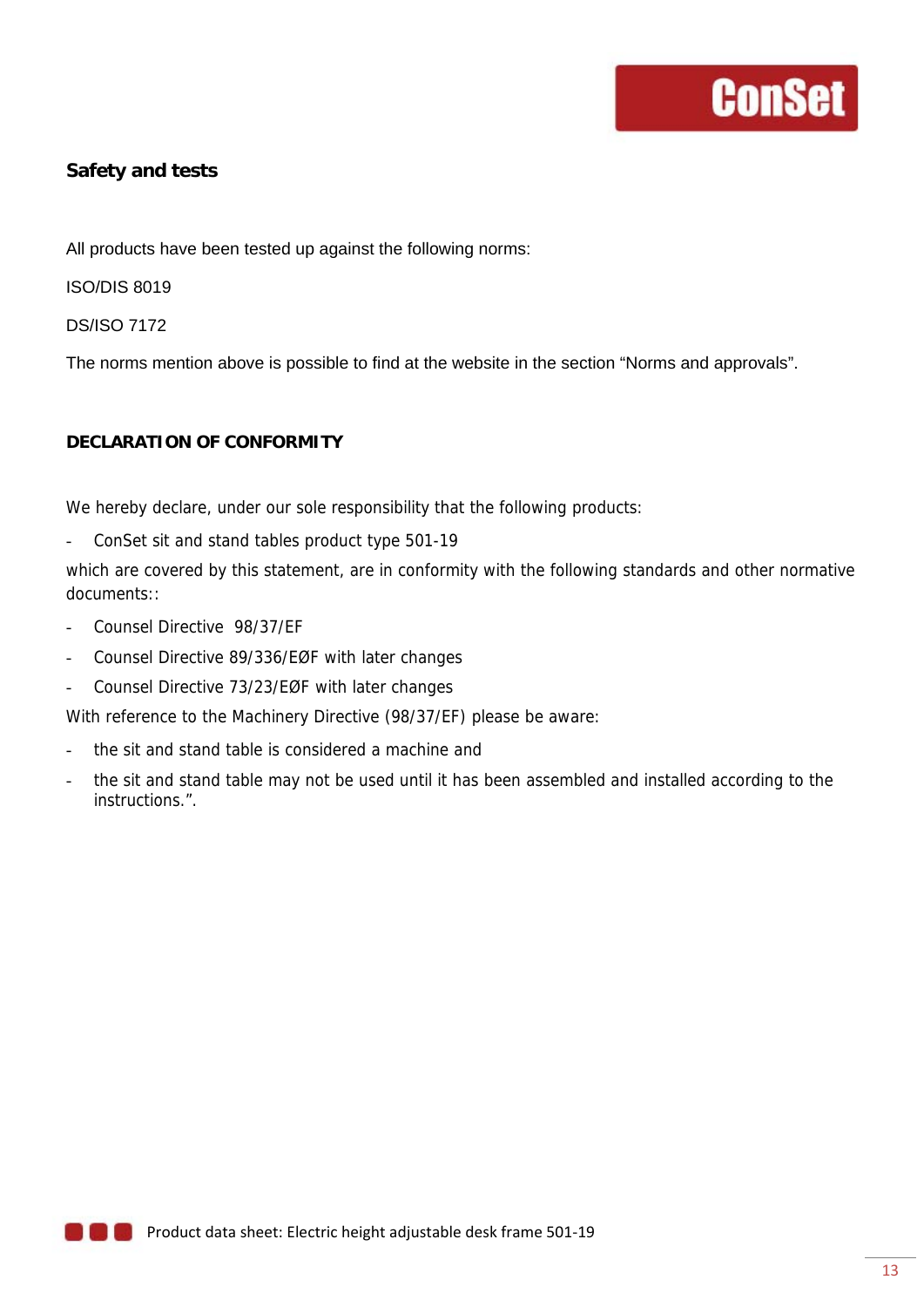#### **Safety and tests**

All products have been tested up against the following norms:

ISO/DIS 8019

DS/ISO 7172

The norms mention above is possible to find at the website in the section "Norms and approvals".

#### **DECLARATION OF CONFORMITY**

We hereby declare, under our sole responsibility that the following products:

- ConSet sit and stand tables product type 501-19

which are covered by this statement, are in conformity with the following standards and other normative documents::

- Counsel Directive 98/37/EF
- Counsel Directive 89/336/EØF with later changes
- Counsel Directive 73/23/EØF with later changes

With reference to the Machinery Directive (98/37/EF) please be aware:

- the sit and stand table is considered a machine and
- the sit and stand table may not be used until it has been assembled and installed according to the instructions.".